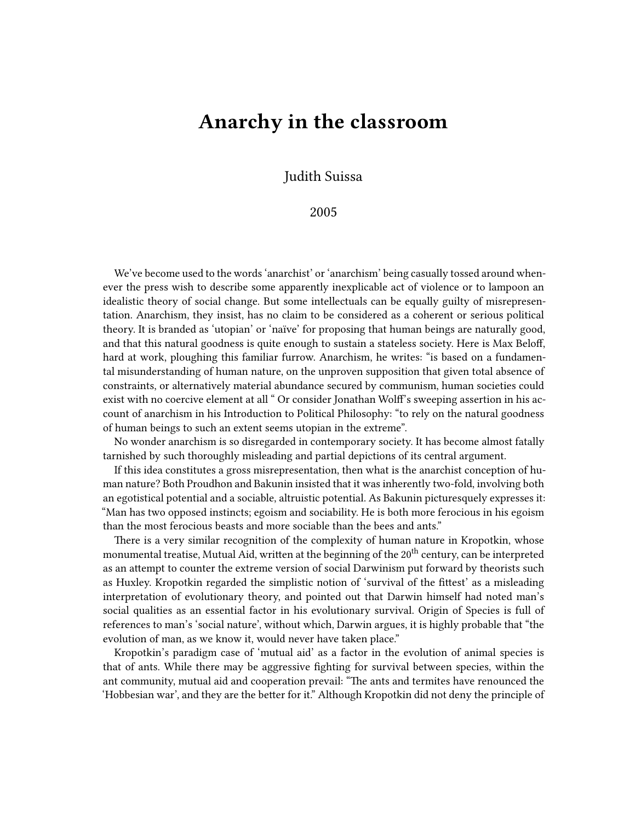## **Anarchy in the classroom**

Judith Suissa

## 2005

We've become used to the words 'anarchist' or 'anarchism' being casually tossed around whenever the press wish to describe some apparently inexplicable act of violence or to lampoon an idealistic theory of social change. But some intellectuals can be equally guilty of misrepresentation. Anarchism, they insist, has no claim to be considered as a coherent or serious political theory. It is branded as 'utopian' or 'naïve' for proposing that human beings are naturally good, and that this natural goodness is quite enough to sustain a stateless society. Here is Max Beloff, hard at work, ploughing this familiar furrow. Anarchism, he writes: "is based on a fundamental misunderstanding of human nature, on the unproven supposition that given total absence of constraints, or alternatively material abundance secured by communism, human societies could exist with no coercive element at all " Or consider Jonathan Wolff's sweeping assertion in his account of anarchism in his Introduction to Political Philosophy: "to rely on the natural goodness of human beings to such an extent seems utopian in the extreme".

No wonder anarchism is so disregarded in contemporary society. It has become almost fatally tarnished by such thoroughly misleading and partial depictions of its central argument.

If this idea constitutes a gross misrepresentation, then what is the anarchist conception of human nature? Both Proudhon and Bakunin insisted that it was inherently two-fold, involving both an egotistical potential and a sociable, altruistic potential. As Bakunin picturesquely expresses it: "Man has two opposed instincts; egoism and sociability. He is both more ferocious in his egoism than the most ferocious beasts and more sociable than the bees and ants."

There is a very similar recognition of the complexity of human nature in Kropotkin, whose monumental treatise, Mutual Aid, written at the beginning of the 20<sup>th</sup> century, can be interpreted as an attempt to counter the extreme version of social Darwinism put forward by theorists such as Huxley. Kropotkin regarded the simplistic notion of 'survival of the fittest' as a misleading interpretation of evolutionary theory, and pointed out that Darwin himself had noted man's social qualities as an essential factor in his evolutionary survival. Origin of Species is full of references to man's 'social nature', without which, Darwin argues, it is highly probable that "the evolution of man, as we know it, would never have taken place."

Kropotkin's paradigm case of 'mutual aid' as a factor in the evolution of animal species is that of ants. While there may be aggressive fighting for survival between species, within the ant community, mutual aid and cooperation prevail: "The ants and termites have renounced the 'Hobbesian war', and they are the better for it." Although Kropotkin did not deny the principle of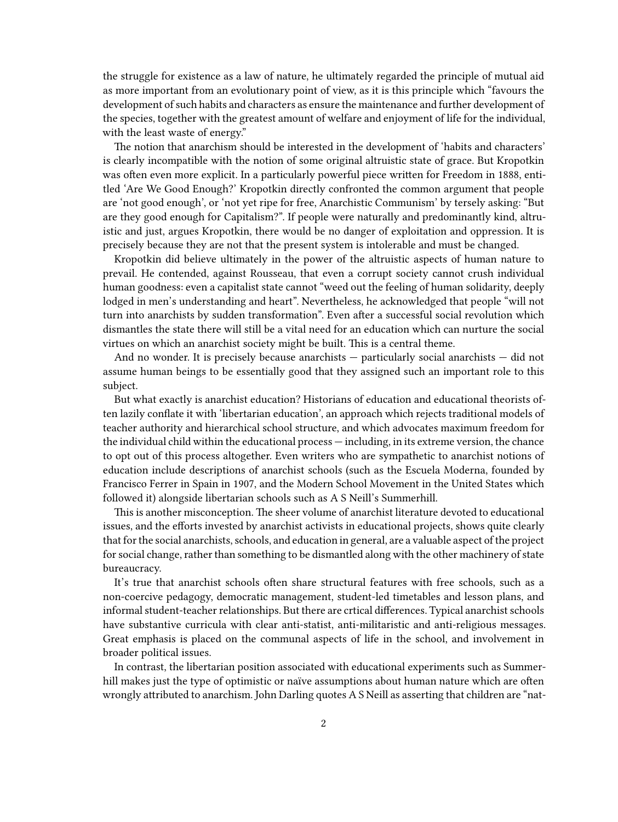the struggle for existence as a law of nature, he ultimately regarded the principle of mutual aid as more important from an evolutionary point of view, as it is this principle which "favours the development of such habits and characters as ensure the maintenance and further development of the species, together with the greatest amount of welfare and enjoyment of life for the individual, with the least waste of energy."

The notion that anarchism should be interested in the development of 'habits and characters' is clearly incompatible with the notion of some original altruistic state of grace. But Kropotkin was often even more explicit. In a particularly powerful piece written for Freedom in 1888, entitled 'Are We Good Enough?' Kropotkin directly confronted the common argument that people are 'not good enough', or 'not yet ripe for free, Anarchistic Communism' by tersely asking: "But are they good enough for Capitalism?". If people were naturally and predominantly kind, altruistic and just, argues Kropotkin, there would be no danger of exploitation and oppression. It is precisely because they are not that the present system is intolerable and must be changed.

Kropotkin did believe ultimately in the power of the altruistic aspects of human nature to prevail. He contended, against Rousseau, that even a corrupt society cannot crush individual human goodness: even a capitalist state cannot "weed out the feeling of human solidarity, deeply lodged in men's understanding and heart". Nevertheless, he acknowledged that people "will not turn into anarchists by sudden transformation". Even after a successful social revolution which dismantles the state there will still be a vital need for an education which can nurture the social virtues on which an anarchist society might be built. This is a central theme.

And no wonder. It is precisely because anarchists — particularly social anarchists — did not assume human beings to be essentially good that they assigned such an important role to this subject.

But what exactly is anarchist education? Historians of education and educational theorists often lazily conflate it with 'libertarian education', an approach which rejects traditional models of teacher authority and hierarchical school structure, and which advocates maximum freedom for the individual child within the educational process — including, in its extreme version, the chance to opt out of this process altogether. Even writers who are sympathetic to anarchist notions of education include descriptions of anarchist schools (such as the Escuela Moderna, founded by Francisco Ferrer in Spain in 1907, and the Modern School Movement in the United States which followed it) alongside libertarian schools such as A S Neill's Summerhill.

This is another misconception. The sheer volume of anarchist literature devoted to educational issues, and the efforts invested by anarchist activists in educational projects, shows quite clearly that for the social anarchists, schools, and education in general, are a valuable aspect of the project for social change, rather than something to be dismantled along with the other machinery of state bureaucracy.

It's true that anarchist schools often share structural features with free schools, such as a non-coercive pedagogy, democratic management, student-led timetables and lesson plans, and informal student-teacher relationships. But there are crtical differences. Typical anarchist schools have substantive curricula with clear anti-statist, anti-militaristic and anti-religious messages. Great emphasis is placed on the communal aspects of life in the school, and involvement in broader political issues.

In contrast, the libertarian position associated with educational experiments such as Summerhill makes just the type of optimistic or naïve assumptions about human nature which are often wrongly attributed to anarchism. John Darling quotes A S Neill as asserting that children are "nat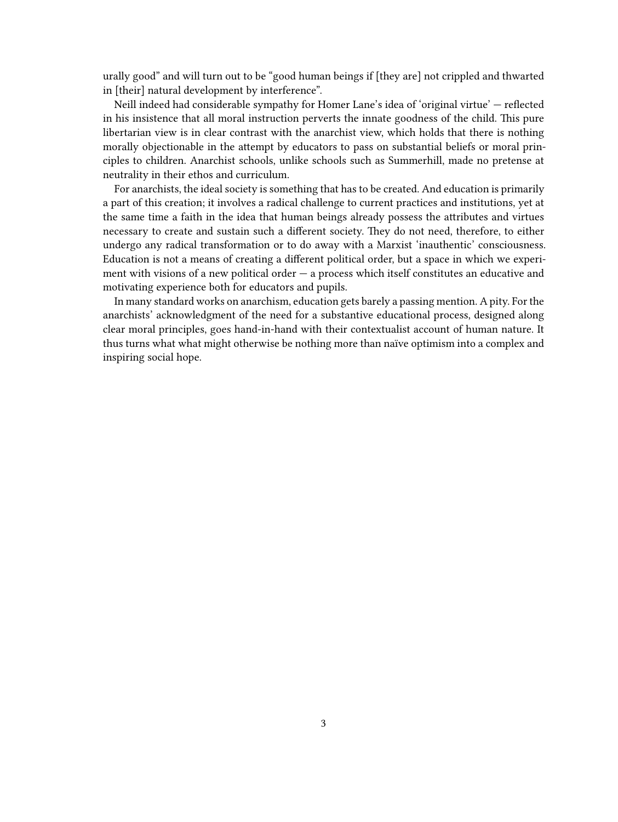urally good" and will turn out to be "good human beings if [they are] not crippled and thwarted in [their] natural development by interference".

Neill indeed had considerable sympathy for Homer Lane's idea of 'original virtue' — reflected in his insistence that all moral instruction perverts the innate goodness of the child. This pure libertarian view is in clear contrast with the anarchist view, which holds that there is nothing morally objectionable in the attempt by educators to pass on substantial beliefs or moral principles to children. Anarchist schools, unlike schools such as Summerhill, made no pretense at neutrality in their ethos and curriculum.

For anarchists, the ideal society is something that has to be created. And education is primarily a part of this creation; it involves a radical challenge to current practices and institutions, yet at the same time a faith in the idea that human beings already possess the attributes and virtues necessary to create and sustain such a different society. They do not need, therefore, to either undergo any radical transformation or to do away with a Marxist 'inauthentic' consciousness. Education is not a means of creating a different political order, but a space in which we experiment with visions of a new political order — a process which itself constitutes an educative and motivating experience both for educators and pupils.

In many standard works on anarchism, education gets barely a passing mention. A pity. For the anarchists' acknowledgment of the need for a substantive educational process, designed along clear moral principles, goes hand-in-hand with their contextualist account of human nature. It thus turns what what might otherwise be nothing more than naïve optimism into a complex and inspiring social hope.